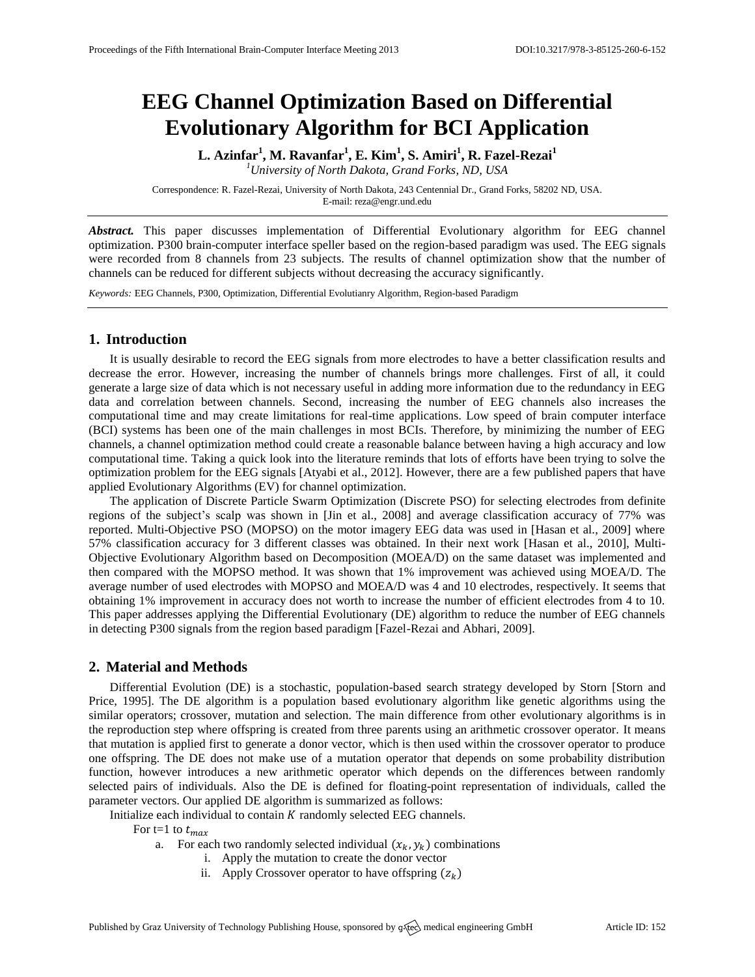# **EEG Channel Optimization Based on Differential Evolutionary Algorithm for BCI Application**

**L. Azinfar<sup>1</sup> , M. Ravanfar<sup>1</sup> , E. Kim<sup>1</sup> , S. Amiri<sup>1</sup> , R. Fazel-Rezai<sup>1</sup>** *<sup>1</sup>University of North Dakota, Grand Forks, ND, USA*

Correspondence: R. Fazel-Rezai, University of North Dakota, 243 Centennial Dr., Grand Forks, 58202 ND, USA. E-mail: [reza@engr.und.edu](mailto:reza@engr.und.edu)

*Abstract.* This paper discusses implementation of Differential Evolutionary algorithm for EEG channel optimization. P300 brain-computer interface speller based on the region-based paradigm was used. The EEG signals were recorded from 8 channels from 23 subjects. The results of channel optimization show that the number of channels can be reduced for different subjects without decreasing the accuracy significantly.

*Keywords:* EEG Channels, P300, Optimization, Differential Evolutianry Algorithm, Region-based Paradigm

# **1. Introduction**

It is usually desirable to record the EEG signals from more electrodes to have a better classification results and decrease the error. However, increasing the number of channels brings more challenges. First of all, it could generate a large size of data which is not necessary useful in adding more information due to the redundancy in EEG data and correlation between channels. Second, increasing the number of EEG channels also increases the computational time and may create limitations for real-time applications. Low speed of brain computer interface (BCI) systems has been one of the main challenges in most BCIs. Therefore, by minimizing the number of EEG channels, a channel optimization method could create a reasonable balance between having a high accuracy and low computational time. Taking a quick look into the literature reminds that lots of efforts have been trying to solve the optimization problem for the EEG signals [Atyabi et al., 2012]. However, there are a few published papers that have applied Evolutionary Algorithms (EV) for channel optimization.

The application of Discrete Particle Swarm Optimization (Discrete PSO) for selecting electrodes from definite regions of the subject's scalp was shown in [Jin et al., 2008] and average classification accuracy of 77% was reported. Multi-Objective PSO (MOPSO) on the motor imagery EEG data was used in [Hasan et al., 2009] where 57% classification accuracy for 3 different classes was obtained. In their next work [Hasan et al., 2010], Multi-Objective Evolutionary Algorithm based on Decomposition (MOEA/D) on the same dataset was implemented and then compared with the MOPSO method. It was shown that 1% improvement was achieved using MOEA/D. The average number of used electrodes with MOPSO and MOEA/D was 4 and 10 electrodes, respectively. It seems that obtaining 1% improvement in accuracy does not worth to increase the number of efficient electrodes from 4 to 10. This paper addresses applying the Differential Evolutionary (DE) algorithm to reduce the number of EEG channels in detecting P300 signals from the region based paradigm [Fazel-Rezai and Abhari, 2009].

#### **2. Material and Methods**

Differential Evolution (DE) is a stochastic, population-based search strategy developed by Storn [Storn and Price, 1995]. The DE algorithm is a population based evolutionary algorithm like genetic algorithms using the similar operators; crossover, mutation and selection. The main difference from other evolutionary algorithms is in the reproduction step where offspring is created from three parents using an arithmetic crossover operator. It means that mutation is applied first to generate a donor vector, which is then used within the crossover operator to produce one offspring. The DE does not make use of a mutation operator that depends on some probability distribution function, however introduces a new arithmetic operator which depends on the differences between randomly selected pairs of individuals. Also the DE is defined for floating-point representation of individuals, called the parameter vectors. Our applied DE algorithm is summarized as follows:

Initialize each individual to contain  $K$  randomly selected EEG channels.

For t=1 to  $t_{max}$ 

- a. For each two randomly selected individual  $(x_k, y_k)$  combinations
	- i. Apply the mutation to create the donor vector
	- ii. Apply Crossover operator to have offspring  $(z_k)$